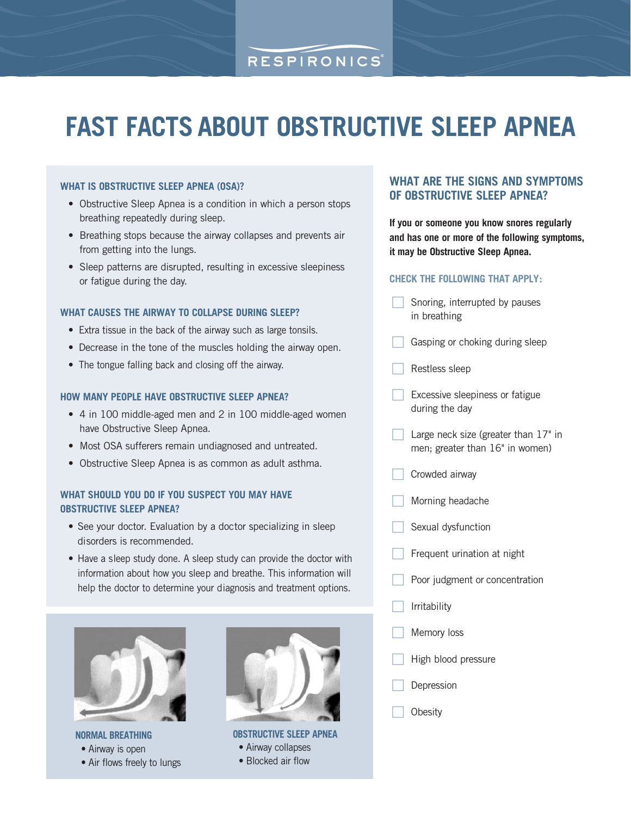# RESPIRONICS

# **FAST FACTS ABOUT OBSTRUCTIVE SLEEP APNEA**

### **WHAT IS OBSTRUCTIVE SLEEP APNEA (OSA)?**

- Obstructive Sleep Apnea is a condition in which a person stops breathing repeatedly during sleep.
- Breathing stops because the airway collapses and prevents air from getting into the lungs.
- Sleep patterns are disrupted, resulting in excessive sleepiness or fatigue during the day.

#### **WHAT CAUSES THE AIRWAY TO COLLAPSE DURING SLEEP?**

- Extra tissue in the back of the airway such as large tonsils.
- Decrease in the tone of the muscles holding the airway open.
- The tongue falling back and closing off the airway.

### **HOW MANY PEOPLE HAVE OBSTRUCTIVE SLEEP APNEA?**

- 4 in 100 middle-aged men and 2 in 100 middle-aged women have Obstructive Sleep Apnea.
- Most OSA sufferers remain undiagnosed and untreated.
- Obstructive Sleep Apnea is as common as adult asthma.

### **WHAT SHOULD YOU DO IF YOU SUSPECT YOU MAY HAVE OBSTRUCTIVE SLEEP APNEA?**

- See your doctor. Evaluation by a doctor specializing in sleep disorders is recommended.
- Have a sleep study done. A sleep study can provide the doctor with information about how you sleep and breathe. This information will help the doctor to determine your diagnosis and treatment options.



**NORMAL BREATHING** • Airway is open

• Air flows freely to lungs



**OBSTRUCTIVE SLEEP APNEA** • Airway collapses • Blocked air flow

## **WHAT ARE THE SIGNS AND SYMPTOMS OF OBSTRUCTIVE SLEEP APNEA?**

**If you or someone you know snores regularly and has one or more of the following symptoms, it may be Obstructive Sleep Apnea.** 

### **CHECK THE FOLLOWING THAT APPLY:**

- $\Box$  Snoring, interrupted by pauses in breathing
- $\Box$ Gasping or choking during sleep
- $\Box$ Restless sleep
- $\Box$  Excessive sleepiness or fatigue during the day
- $\Box$  Large neck size (greater than 17" in men; greater than 16" in women)
- $\Box$ Crowded airway
- $\Box$ Morning headache
- $\Box$ Sexual dysfunction
- $\Box$ Frequent urination at night
- $\Box$ Poor judgment or concentration
- $\Box$ Irritability
- $\Box$ Memory loss
- $\Box$ High blood pressure
- $\Box$ Depression
- $\Box$ **Obesity**